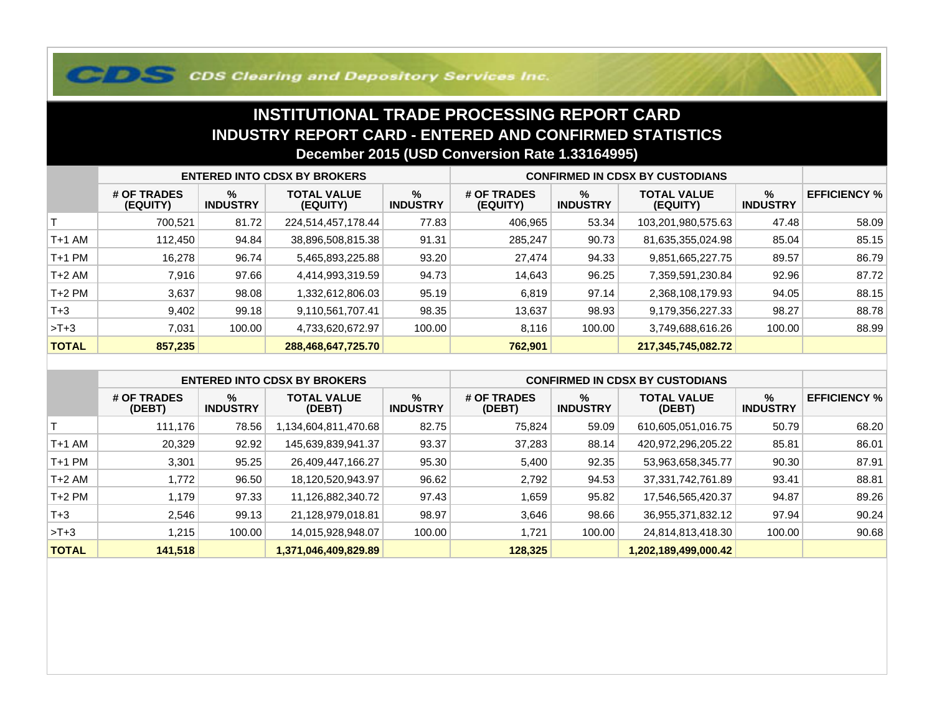## **COS Clearing and Depository Services Inc.**

## **INSTITUTIONAL TRADE PROCESSING REPORT CARD INDUSTRY REPORT CARD - ENTERED AND CONFIRMED STATISTICSDecember 2015 (USD Conversion Rate 1.33164995)**

|              | <b>ENTERED INTO CDSX BY BROKERS</b> |                         |                                |                         | <b>CONFIRMED IN CDSX BY CUSTODIANS</b> |                         |                                |                         |                     |
|--------------|-------------------------------------|-------------------------|--------------------------------|-------------------------|----------------------------------------|-------------------------|--------------------------------|-------------------------|---------------------|
|              | # OF TRADES<br>(EQUITY)             | $\%$<br><b>INDUSTRY</b> | <b>TOTAL VALUE</b><br>(EQUITY) | $\%$<br><b>INDUSTRY</b> | # OF TRADES<br>(EQUITY)                | $\%$<br><b>INDUSTRY</b> | <b>TOTAL VALUE</b><br>(EQUITY) | $\%$<br><b>INDUSTRY</b> | <b>EFFICIENCY %</b> |
|              | 700,521                             | 81.72                   | 224,514,457,178.44             | 77.83                   | 406,965                                | 53.34                   | 103,201,980,575.63             | 47.48                   | 58.09               |
| T+1 AM       | 112.450                             | 94.84                   | 38,896,508,815.38              | 91.31                   | 285,247                                | 90.73                   | 81,635,355,024.98              | 85.04                   | 85.15               |
| T+1 PM       | 16,278                              | 96.74                   | 5,465,893,225.88               | 93.20                   | 27,474                                 | 94.33                   | 9,851,665,227.75               | 89.57                   | 86.79               |
| T+2 AM       | 7.916                               | 97.66                   | 4,414,993,319.59               | 94.73                   | 14,643                                 | 96.25                   | 7,359,591,230.84               | 92.96                   | 87.72               |
| $T+2$ PM     | 3,637                               | 98.08                   | 1,332,612,806.03               | 95.19                   | 6,819                                  | 97.14                   | 2,368,108,179.93               | 94.05                   | 88.15               |
| $T+3$        | 9,402                               | 99.18                   | 9,110,561,707.41               | 98.35                   | 13,637                                 | 98.93                   | 9,179,356,227.33               | 98.27                   | 88.78               |
| $>T+3$       | 7,031                               | 100.00                  | 4,733,620,672.97               | 100.00                  | 8.116                                  | 100.00                  | 3,749,688,616.26               | 100.00                  | 88.99               |
| <b>TOTAL</b> | 857,235                             |                         | 288,468,647,725.70             |                         | 762,901                                |                         | 217,345,745,082.72             |                         |                     |

|              | <b>ENTERED INTO CDSX BY BROKERS</b> |                         |                              |                         | <b>CONFIRMED IN CDSX BY CUSTODIANS</b> |                         |                              |                         |                     |
|--------------|-------------------------------------|-------------------------|------------------------------|-------------------------|----------------------------------------|-------------------------|------------------------------|-------------------------|---------------------|
|              | # OF TRADES<br>(DEBT)               | $\%$<br><b>INDUSTRY</b> | <b>TOTAL VALUE</b><br>(DEBT) | $\%$<br><b>INDUSTRY</b> | # OF TRADES<br>(DEBT)                  | $\%$<br><b>INDUSTRY</b> | <b>TOTAL VALUE</b><br>(DEBT) | $\%$<br><b>INDUSTRY</b> | <b>EFFICIENCY %</b> |
|              | 111.176                             | 78.56                   | 1,134,604,811,470.68         | 82.75                   | 75,824                                 | 59.09                   | 610,605,051,016.75           | 50.79                   | 68.20               |
| $T+1$ AM     | 20,329                              | 92.92                   | 145,639,839,941.37           | 93.37                   | 37,283                                 | 88.14                   | 420,972,296,205.22           | 85.81                   | 86.01               |
| $T+1$ PM     | 3,301                               | 95.25                   | 26,409,447,166.27            | 95.30                   | 5,400                                  | 92.35                   | 53,963,658,345.77            | 90.30                   | 87.91               |
| $T+2$ AM     | 1,772                               | 96.50                   | 18,120,520,943.97            | 96.62                   | 2,792                                  | 94.53                   | 37, 331, 742, 761.89         | 93.41                   | 88.81               |
| $T+2$ PM     | 1,179                               | 97.33                   | 11,126,882,340.72            | 97.43                   | 559, ،                                 | 95.82                   | 17,546,565,420.37            | 94.87                   | 89.26               |
| $T + 3$      | 2.546                               | 99.13                   | 21,128,979,018.81            | 98.97                   | 3,646                                  | 98.66                   | 36,955,371,832.12            | 97.94                   | 90.24               |
| $>T+3$       | 1.215                               | 100.00                  | 14,015,928,948.07            | 100.00                  | 721, ا                                 | 100.00                  | 24,814,813,418.30            | 100.00                  | 90.68               |
| <b>TOTAL</b> | 141,518                             |                         | 1,371,046,409,829.89         |                         | 128,325                                |                         | 1,202,189,499,000.42         |                         |                     |